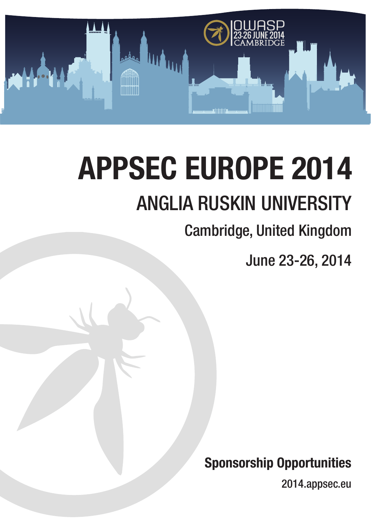

# **APPSEC EUROPE 2014** ANGLIA RUSKIN UNIVERSITY

## Cambridge, United Kingdom

June 23-26, 2014

**Sponsorship Opportunities**

2014.appsec.eu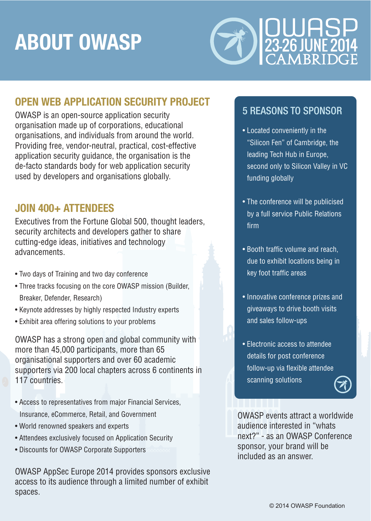# **ABOUT OWASP**



## **OPEN WEB APPLICATION SECURITY PROJECT**

OWASP is an open-source application security organisation made up of corporations, educational organisations, and individuals from around the world. Providing free, vendor-neutral, practical, cost-effective application security guidance, the organisation is the de-facto standards body for web application security used by developers and organisations globally.

## **JOIN 400+ ATTENDEES**

Executives from the Fortune Global 500, thought leaders, security architects and developers gather to share cutting-edge ideas, initiatives and technology advancements.

- Two days of Training and two day conference
- Three tracks focusing on the core OWASP mission (Builder, Breaker, Defender, Research)
- Keynote addresses by highly respected Industry experts
- Exhibit area offering solutions to your problems

OWASP has a strong open and global community with more than 45,000 participants, more than 65 organisational supporters and over 60 academic supporters via 200 local chapters across 6 continents in 117 countries.

- Access to representatives from major Financial Services, Insurance, eCommerce, Retail, and Government
- World renowned speakers and experts
- Attendees exclusively focused on Application Security
- Discounts for OWASP Corporate Supporters

OWASP AppSec Europe 2014 provides sponsors exclusive access to its audience through a limited number of exhibit spaces.

## 5 REASONS TO SPONSOR

- Located conveniently in the "Silicon Fen" of Cambridge, the leading Tech Hub in Europe, second only to Silicon Valley in VC funding globally
- The conference will be publicised by a full service Public Relations firm
- Booth traffic volume and reach, due to exhibit locations being in key foot traffic areas
- Innovative conference prizes and giveaways to drive booth visits and sales follow-ups
- Electronic access to attendee details for post conference follow-up via flexible attendee scanning solutions



OWASP events attract a worldwide audience interested in "whats next?" - as an OWASP Conference sponsor, your brand will be included as an answer.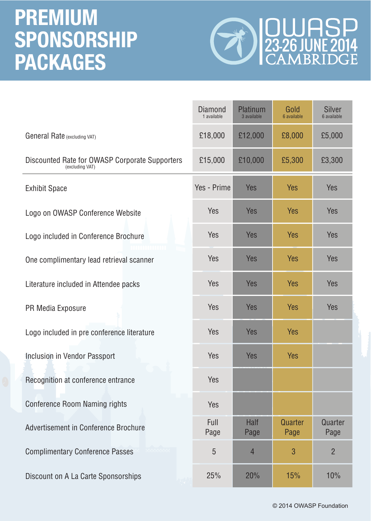## **PREMIUM SPONSORSHIP PACKAGES**



|                                                                   | <b>Diamond</b><br>1 available | Platinum<br>3 available | Gold<br>6 available | <b>Silver</b><br>6 available |
|-------------------------------------------------------------------|-------------------------------|-------------------------|---------------------|------------------------------|
| General Rate (excluding VAT)                                      | £18,000                       | £12,000                 | £8,000              | £5,000                       |
| Discounted Rate for OWASP Corporate Supporters<br>(excluding VAT) | £15,000                       | £10,000                 | £5,300              | £3,300                       |
| <b>Exhibit Space</b>                                              | Yes - Prime                   | <b>Yes</b>              | <b>Yes</b>          | <b>Yes</b>                   |
| Logo on OWASP Conference Website                                  | Yes                           | <b>Yes</b>              | <b>Yes</b>          | <b>Yes</b>                   |
| Logo included in Conference Brochure                              | Yes                           | <b>Yes</b>              | <b>Yes</b>          | <b>Yes</b>                   |
| One complimentary lead retrieval scanner                          | Yes                           | Yes                     | <b>Yes</b>          | <b>Yes</b>                   |
| Literature included in Attendee packs                             | Yes                           | <b>Yes</b>              | <b>Yes</b>          | <b>Yes</b>                   |
| PR Media Exposure                                                 | Yes                           | Yes                     | <b>Yes</b>          | <b>Yes</b>                   |
| Logo included in pre conference literature                        | Yes                           | <b>Yes</b>              | <b>Yes</b>          |                              |
| Inclusion in Vendor Passport                                      | <b>Yes</b>                    | Yes                     | <b>Yes</b>          |                              |
| Recognition at conference entrance                                | <b>Yes</b>                    |                         |                     |                              |
| <b>Conference Room Naming rights</b>                              | <b>Yes</b>                    |                         |                     |                              |
| Advertisement in Conference Brochure                              | Full<br>Page                  | <b>Half</b><br>Page     | Quarter<br>Page     | Quarter<br>Page              |
| <b>Complimentary Conference Passes</b>                            | $\overline{5}$                | $\overline{4}$          | 3                   | $\overline{2}$               |
| Discount on A La Carte Sponsorships                               | 25%                           | 20%                     | <b>15%</b>          | 10%                          |